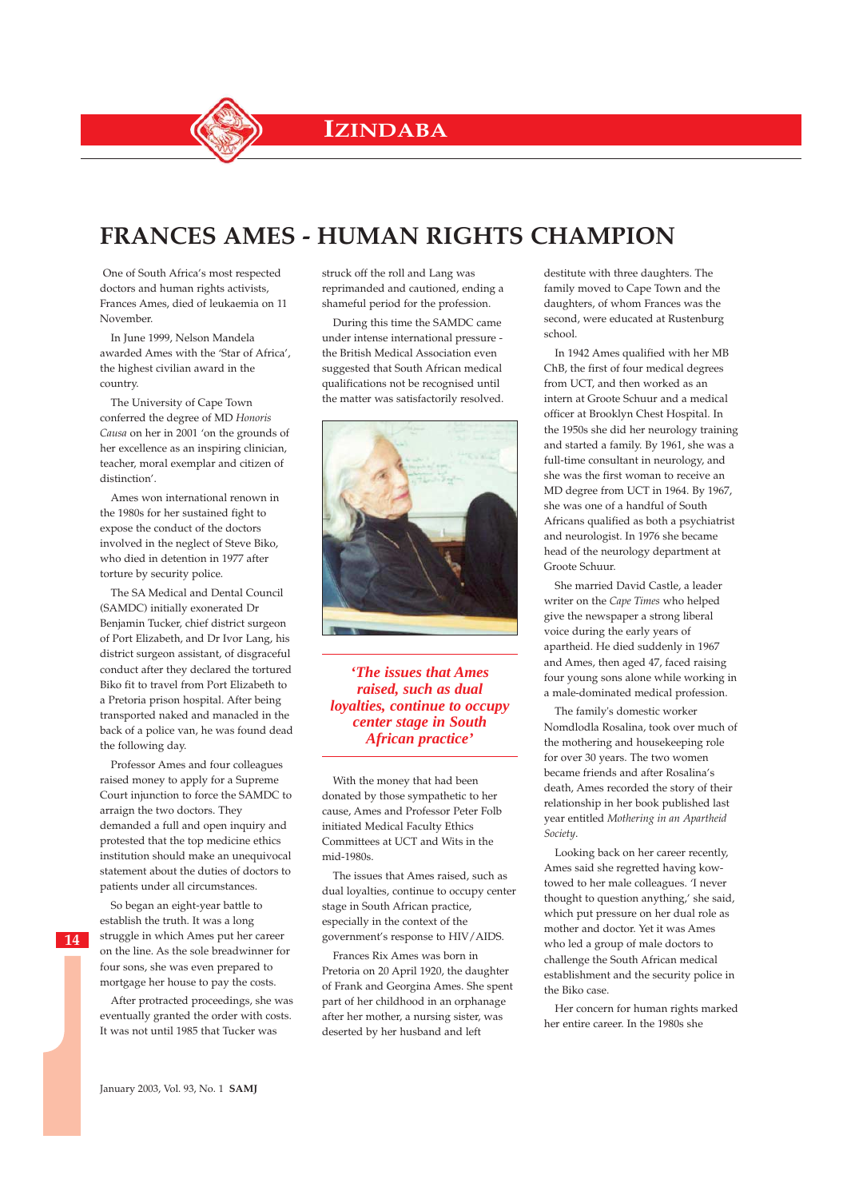**IZINDABA**

## **FRANCES AMES - HUMAN RIGHTS CHAMPION**

One of South Africa's most respected doctors and human rights activists, Frances Ames, died of leukaemia on 11 November.

In June 1999, Nelson Mandela awarded Ames with the 'Star of Africa', the highest civilian award in the country.

The University of Cape Town conferred the degree of MD *Honoris Causa* on her in 2001 'on the grounds of her excellence as an inspiring clinician, teacher, moral exemplar and citizen of distinction'.

Ames won international renown in the 1980s for her sustained fight to expose the conduct of the doctors involved in the neglect of Steve Biko, who died in detention in 1977 after torture by security police.

The SA Medical and Dental Council (SAMDC) initially exonerated Dr Benjamin Tucker, chief district surgeon of Port Elizabeth, and Dr Ivor Lang, his district surgeon assistant, of disgraceful conduct after they declared the tortured Biko fit to travel from Port Elizabeth to a Pretoria prison hospital. After being transported naked and manacled in the back of a police van, he was found dead the following day.

Professor Ames and four colleagues raised money to apply for a Supreme Court injunction to force the SAMDC to arraign the two doctors. They demanded a full and open inquiry and protested that the top medicine ethics institution should make an unequivocal statement about the duties of doctors to patients under all circumstances.

So began an eight-year battle to establish the truth. It was a long struggle in which Ames put her career on the line. As the sole breadwinner for four sons, she was even prepared to mortgage her house to pay the costs.

After protracted proceedings, she was eventually granted the order with costs. It was not until 1985 that Tucker was

struck off the roll and Lang was reprimanded and cautioned, ending a shameful period for the profession.

During this time the SAMDC came under intense international pressure the British Medical Association even suggested that South African medical qualifications not be recognised until the matter was satisfactorily resolved.



*'The issues that Ames raised, such as dual loyalties, continue to occupy center stage in South African practice'*

With the money that had been donated by those sympathetic to her cause, Ames and Professor Peter Folb initiated Medical Faculty Ethics Committees at UCT and Wits in the mid-1980s.

The issues that Ames raised, such as dual loyalties, continue to occupy center stage in South African practice, especially in the context of the government's response to HIV/AIDS.

Frances Rix Ames was born in Pretoria on 20 April 1920, the daughter of Frank and Georgina Ames. She spent part of her childhood in an orphanage after her mother, a nursing sister, was deserted by her husband and left

destitute with three daughters. The family moved to Cape Town and the daughters, of whom Frances was the second, were educated at Rustenburg school.

In 1942 Ames qualified with her MB ChB, the first of four medical degrees from UCT, and then worked as an intern at Groote Schuur and a medical officer at Brooklyn Chest Hospital. In the 1950s she did her neurology training and started a family. By 1961, she was a full-time consultant in neurology, and she was the first woman to receive an MD degree from UCT in 1964. By 1967, she was one of a handful of South Africans qualified as both a psychiatrist and neurologist. In 1976 she became head of the neurology department at Groote Schuur.

She married David Castle, a leader writer on the *Cape Times* who helped give the newspaper a strong liberal voice during the early years of apartheid. He died suddenly in 1967 and Ames, then aged 47, faced raising four young sons alone while working in a male-dominated medical profession.

The family's domestic worker Nomdlodla Rosalina, took over much of the mothering and housekeeping role for over 30 years. The two women became friends and after Rosalina's death, Ames recorded the story of their relationship in her book published last year entitled *Mothering in an Apartheid Society*.

Looking back on her career recently, Ames said she regretted having kowtowed to her male colleagues. 'I never thought to question anything,' she said, which put pressure on her dual role as mother and doctor. Yet it was Ames who led a group of male doctors to challenge the South African medical establishment and the security police in the Biko case.

Her concern for human rights marked her entire career. In the 1980s she

January 2003, Vol. 93, No. 1 **SAMJ**

**14**